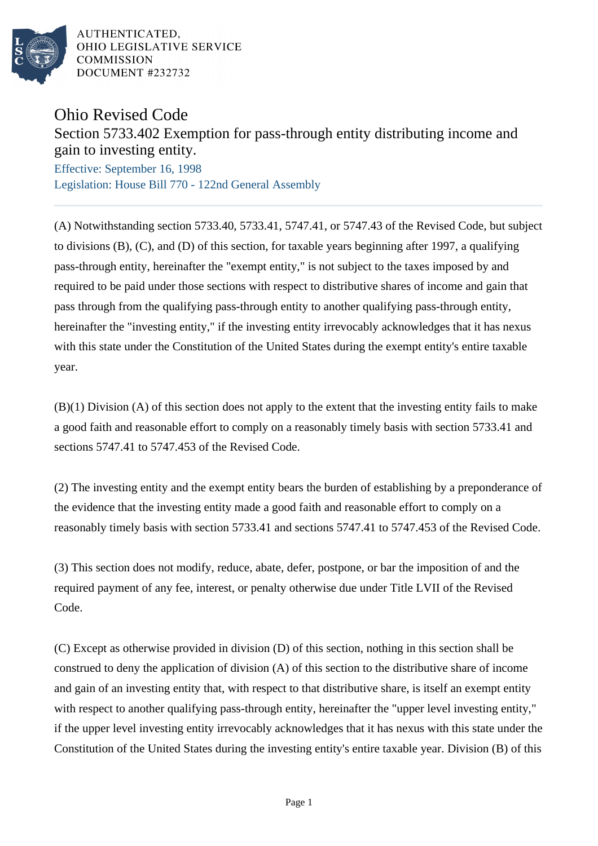

AUTHENTICATED. OHIO LEGISLATIVE SERVICE **COMMISSION** DOCUMENT #232732

## Ohio Revised Code

## Section 5733.402 Exemption for pass-through entity distributing income and gain to investing entity.

Effective: September 16, 1998 Legislation: House Bill 770 - 122nd General Assembly

(A) Notwithstanding section 5733.40, 5733.41, 5747.41, or 5747.43 of the Revised Code, but subject to divisions (B), (C), and (D) of this section, for taxable years beginning after 1997, a qualifying pass-through entity, hereinafter the "exempt entity," is not subject to the taxes imposed by and required to be paid under those sections with respect to distributive shares of income and gain that pass through from the qualifying pass-through entity to another qualifying pass-through entity, hereinafter the "investing entity," if the investing entity irrevocably acknowledges that it has nexus with this state under the Constitution of the United States during the exempt entity's entire taxable year.

(B)(1) Division (A) of this section does not apply to the extent that the investing entity fails to make a good faith and reasonable effort to comply on a reasonably timely basis with section 5733.41 and sections 5747.41 to 5747.453 of the Revised Code.

(2) The investing entity and the exempt entity bears the burden of establishing by a preponderance of the evidence that the investing entity made a good faith and reasonable effort to comply on a reasonably timely basis with section 5733.41 and sections 5747.41 to 5747.453 of the Revised Code.

(3) This section does not modify, reduce, abate, defer, postpone, or bar the imposition of and the required payment of any fee, interest, or penalty otherwise due under Title LVII of the Revised Code.

(C) Except as otherwise provided in division (D) of this section, nothing in this section shall be construed to deny the application of division (A) of this section to the distributive share of income and gain of an investing entity that, with respect to that distributive share, is itself an exempt entity with respect to another qualifying pass-through entity, hereinafter the "upper level investing entity," if the upper level investing entity irrevocably acknowledges that it has nexus with this state under the Constitution of the United States during the investing entity's entire taxable year. Division (B) of this